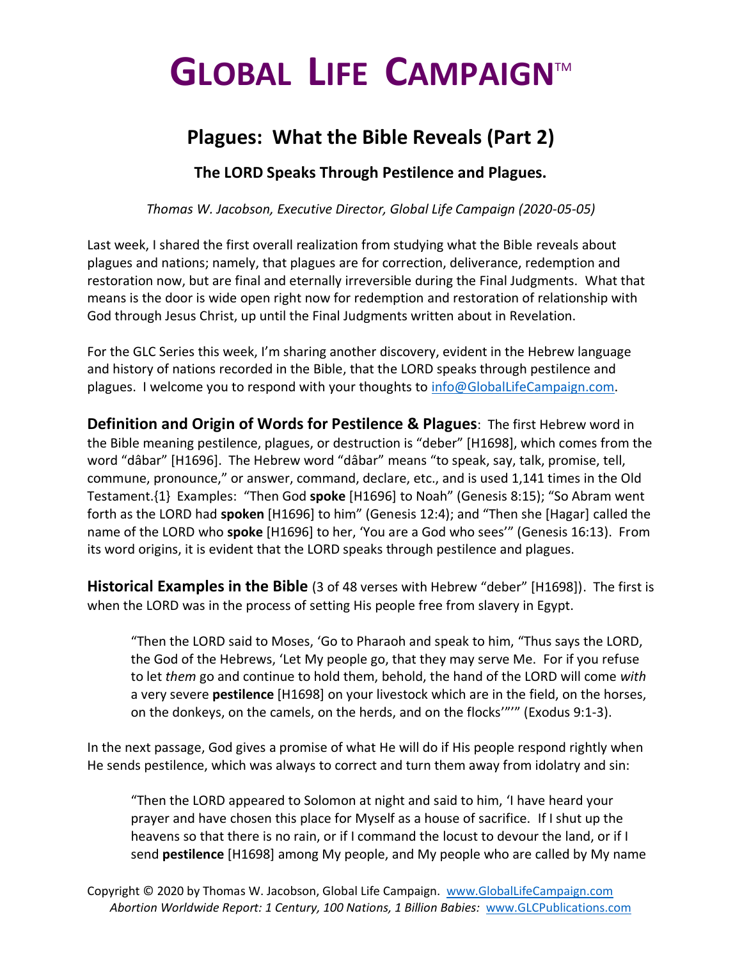## **GLOBAL LIFE CAMPAIGN**TM

## **Plagues: What the Bible Reveals (Part 2)**

**The LORD Speaks Through Pestilence and Plagues.**

*Thomas W. Jacobson, Executive Director, Global Life Campaign (2020-05-05)*

Last week, I shared the first overall realization from studying what the Bible reveals about plagues and nations; namely, that plagues are for correction, deliverance, redemption and restoration now, but are final and eternally irreversible during the Final Judgments. What that means is the door is wide open right now for redemption and restoration of relationship with God through Jesus Christ, up until the Final Judgments written about in Revelation.

For the GLC Series this week, I'm sharing another discovery, evident in the Hebrew language and history of nations recorded in the Bible, that the LORD speaks through pestilence and plagues. I welcome you to respond with your thoughts to [info@GlobalLifeCampaign.com.](mailto:info@GlobalLifeCampaign.com)

**Definition and Origin of Words for Pestilence & Plagues**: The first Hebrew word in the Bible meaning pestilence, plagues, or destruction is "deber" [H1698], which comes from the word "dâbar" [H1696]. The Hebrew word "dâbar" means "to speak, say, talk, promise, tell, commune, pronounce," or answer, command, declare, etc., and is used 1,141 times in the Old Testament.{1} Examples: "Then God **spoke** [H1696] to Noah" (Genesis 8:15); "So Abram went forth as the LORD had **spoken** [H1696] to him" (Genesis 12:4); and "Then she [Hagar] called the name of the LORD who **spoke** [H1696] to her, 'You are a God who sees'" (Genesis 16:13). From its word origins, it is evident that the LORD speaks through pestilence and plagues.

**Historical Examples in the Bible** (3 of 48 verses with Hebrew "deber" [H1698]). The first is when the LORD was in the process of setting His people free from slavery in Egypt.

"Then the LORD said to Moses, 'Go to Pharaoh and speak to him, "Thus says the LORD, the God of the Hebrews, 'Let My people go, that they may serve Me. For if you refuse to let *them* go and continue to hold them, behold, the hand of the LORD will come *with* a very severe **pestilence** [H1698] on your livestock which are in the field, on the horses, on the donkeys, on the camels, on the herds, and on the flocks'"'" (Exodus 9:1-3).

In the next passage, God gives a promise of what He will do if His people respond rightly when He sends pestilence, which was always to correct and turn them away from idolatry and sin:

"Then the LORD appeared to Solomon at night and said to him, 'I have heard your prayer and have chosen this place for Myself as a house of sacrifice. If I shut up the heavens so that there is no rain, or if I command the locust to devour the land, or if I send **pestilence** [H1698] among My people, and My people who are called by My name